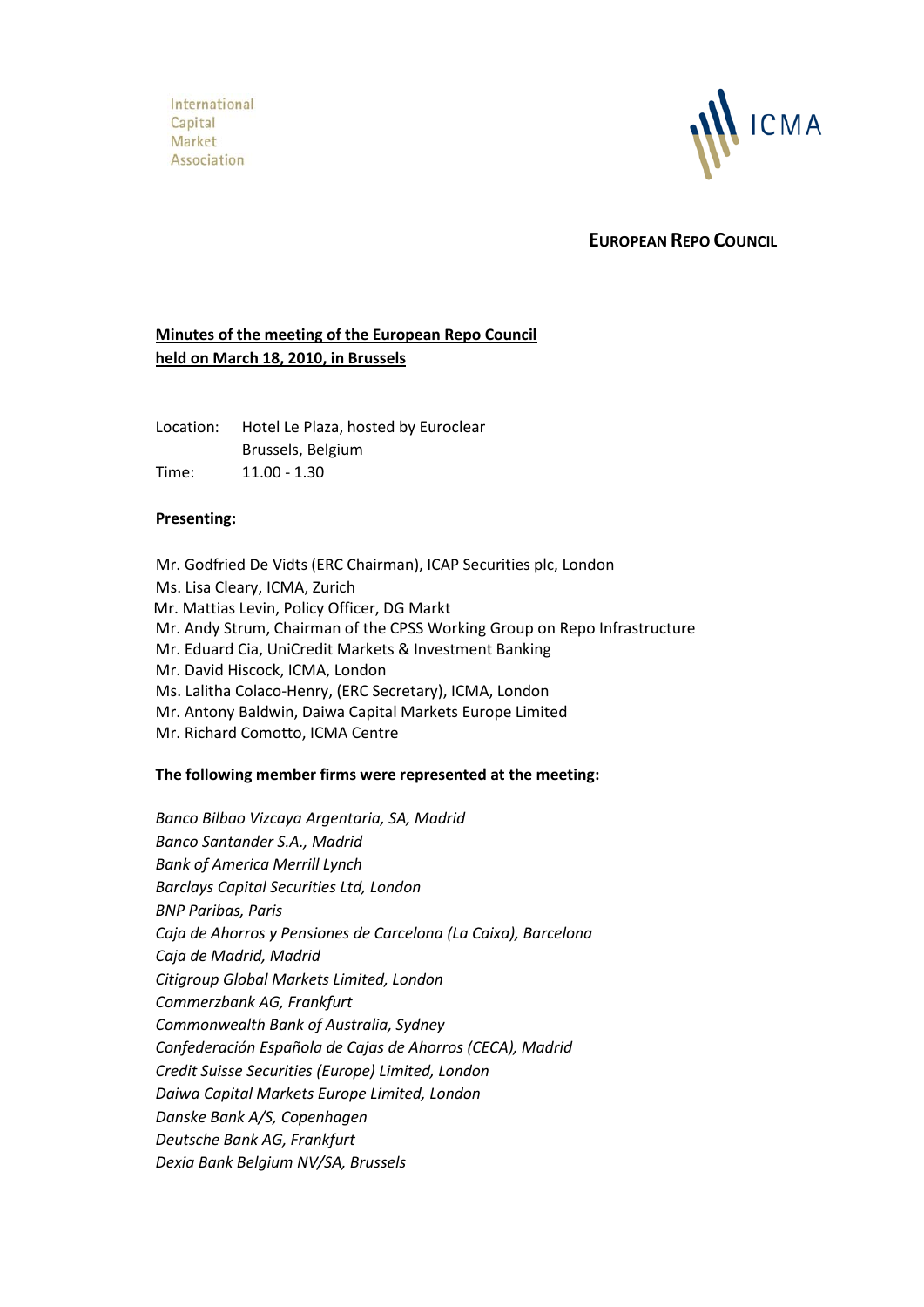International Capital Market Association



**EUROPEAN REPO COUNCIL**

# **Minutes of the meeting of the European Repo Council held on March 18, 2010, in Brussels**

Location: Hotel Le Plaza, hosted by Euroclear Brussels, Belgium Time: 11.00 - 1.30

# **Presenting:**

Mr. Godfried De Vidts (ERC Chairman), ICAP Securities plc, London Ms. Lisa Cleary, ICMA, Zurich Mr. Mattias Levin, Policy Officer, DG Markt Mr. Andy Strum, Chairman of the CPSS Working Group on Repo Infrastructure Mr. Eduard Cia, UniCredit Markets & Investment Banking Mr. David Hiscock, ICMA, London Ms. Lalitha Colaco-Henry, (ERC Secretary), ICMA, London Mr. Antony Baldwin, Daiwa Capital Markets Europe Limited Mr. Richard Comotto, ICMA Centre

# **The following member firms were represented at the meeting:**

*Banco Bilbao Vizcaya Argentaria, SA, Madrid Banco Santander S.A., Madrid Bank of America Merrill Lynch Barclays Capital Securities Ltd, London BNP Paribas, Paris Caja de Ahorros y Pensiones de Carcelona (La Caixa), Barcelona Caja de Madrid, Madrid Citigroup Global Markets Limited, London Commerzbank AG, Frankfurt Commonwealth Bank of Australia, Sydney Confederación Española de Cajas de Ahorros (CECA), Madrid Credit Suisse Securities (Europe) Limited, London Daiwa Capital Markets Europe Limited, London Danske Bank A/S, Copenhagen Deutsche Bank AG, Frankfurt Dexia Bank Belgium NV/SA, Brussels*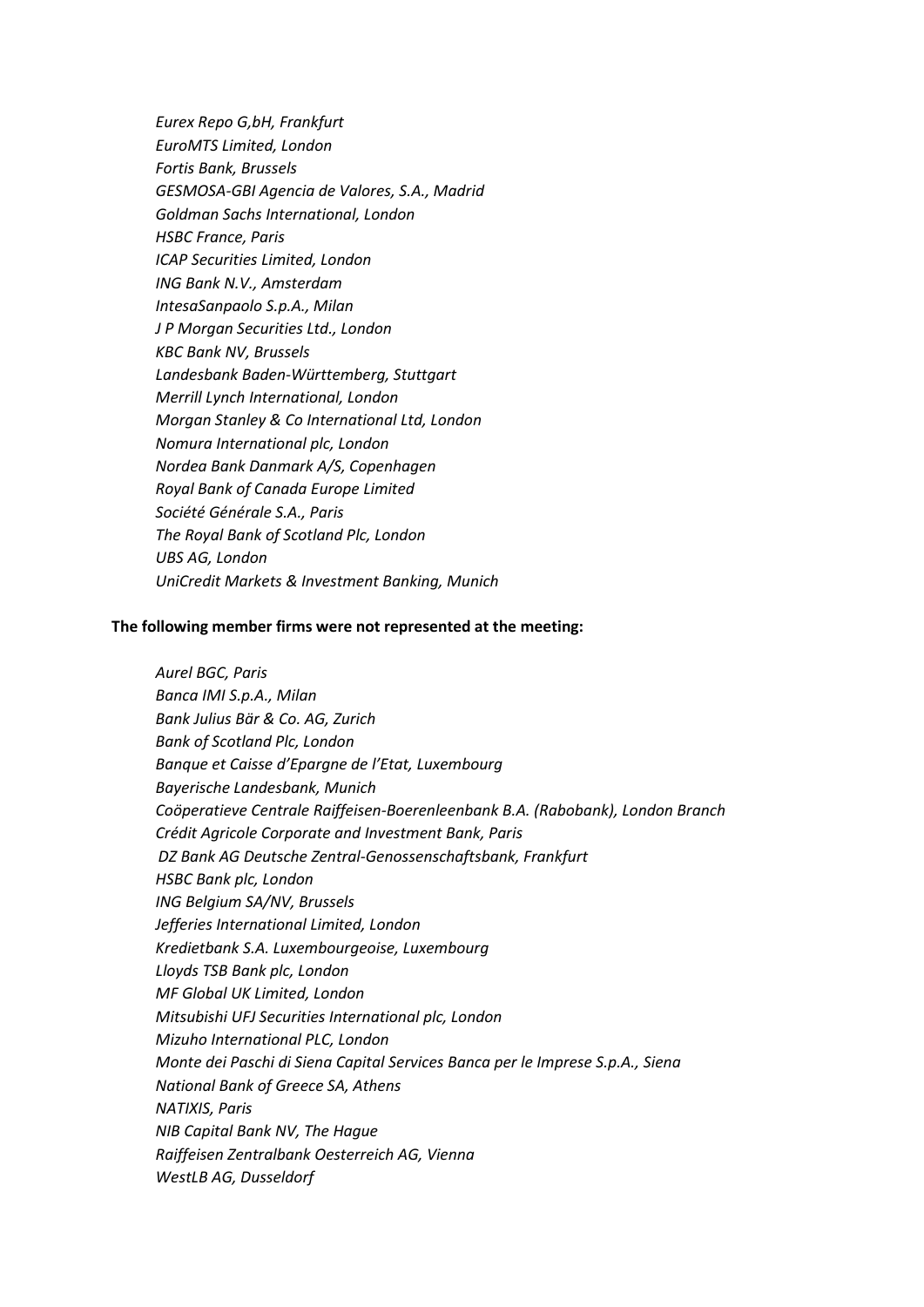*Eurex Repo G,bH, Frankfurt EuroMTS Limited, London Fortis Bank, Brussels GESMOSA-GBI Agencia de Valores, S.A., Madrid Goldman Sachs International, London HSBC France, Paris ICAP Securities Limited, London ING Bank N.V., Amsterdam IntesaSanpaolo S.p.A., Milan J P Morgan Securities Ltd., London KBC Bank NV, Brussels Landesbank Baden-Württemberg, Stuttgart Merrill Lynch International, London Morgan Stanley & Co International Ltd, London Nomura International plc, London Nordea Bank Danmark A/S, Copenhagen Royal Bank of Canada Europe Limited Société Générale S.A., Paris The Royal Bank of Scotland Plc, London UBS AG, London UniCredit Markets & Investment Banking, Munich*

### **The following member firms were not represented at the meeting:**

*Aurel BGC, Paris Banca IMI S.p.A., Milan Bank Julius Bär & Co. AG, Zurich Bank of Scotland Plc, London Banque et Caisse d'Epargne de l'Etat, Luxembourg Bayerische Landesbank, Munich Coöperatieve Centrale Raiffeisen-Boerenleenbank B.A. (Rabobank), London Branch Crédit Agricole Corporate and Investment Bank, Paris DZ Bank AG Deutsche Zentral-Genossenschaftsbank, Frankfurt HSBC Bank plc, London ING Belgium SA/NV, Brussels Jefferies International Limited, London Kredietbank S.A. Luxembourgeoise, Luxembourg Lloyds TSB Bank plc, London MF Global UK Limited, London Mitsubishi UFJ Securities International plc, London Mizuho International PLC, London Monte dei Paschi di Siena Capital Services Banca per le Imprese S.p.A., Siena National Bank of Greece SA, Athens NATIXIS, Paris NIB Capital Bank NV, The Hague Raiffeisen Zentralbank Oesterreich AG, Vienna WestLB AG, Dusseldorf*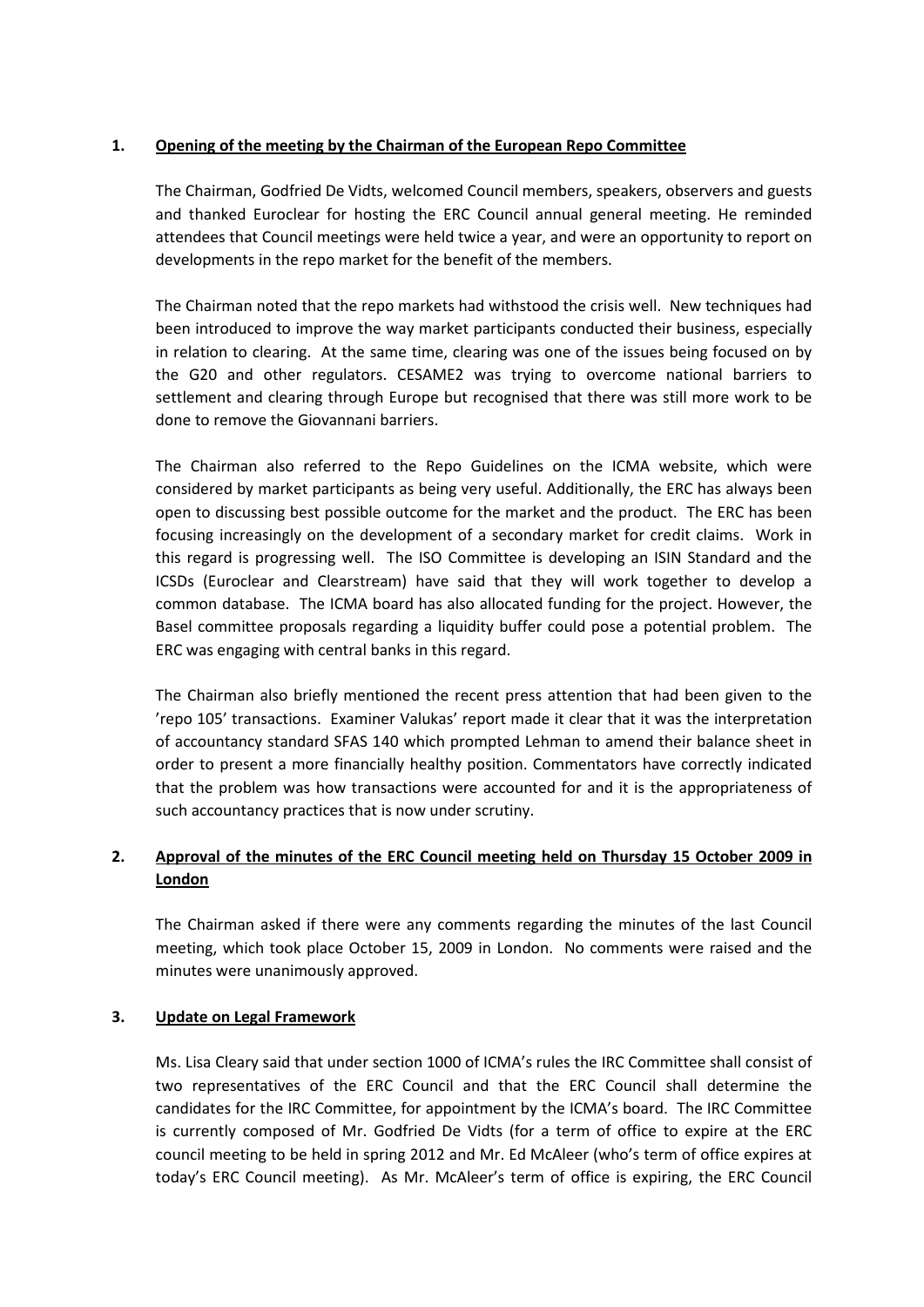# **1. Opening of the meeting by the Chairman of the European Repo Committee**

The Chairman, Godfried De Vidts, welcomed Council members, speakers, observers and guests and thanked Euroclear for hosting the ERC Council annual general meeting. He reminded attendees that Council meetings were held twice a year, and were an opportunity to report on developments in the repo market for the benefit of the members.

The Chairman noted that the repo markets had withstood the crisis well. New techniques had been introduced to improve the way market participants conducted their business, especially in relation to clearing. At the same time, clearing was one of the issues being focused on by the G20 and other regulators. CESAME2 was trying to overcome national barriers to settlement and clearing through Europe but recognised that there was still more work to be done to remove the Giovannani barriers.

The Chairman also referred to the Repo Guidelines on the ICMA website, which were considered by market participants as being very useful. Additionally, the ERC has always been open to discussing best possible outcome for the market and the product. The ERC has been focusing increasingly on the development of a secondary market for credit claims. Work in this regard is progressing well. The ISO Committee is developing an ISIN Standard and the ICSDs (Euroclear and Clearstream) have said that they will work together to develop a common database. The ICMA board has also allocated funding for the project. However, the Basel committee proposals regarding a liquidity buffer could pose a potential problem. The ERC was engaging with central banks in this regard.

The Chairman also briefly mentioned the recent press attention that had been given to the 'repo 105' transactions. Examiner Valukas' report made it clear that it was the interpretation of accountancy standard SFAS 140 which prompted Lehman to amend their balance sheet in order to present a more financially healthy position. Commentators have correctly indicated that the problem was how transactions were accounted for and it is the appropriateness of such accountancy practices that is now under scrutiny.

# **2. Approval of the minutes of the ERC Council meeting held on Thursday 15 October 2009 in London**

The Chairman asked if there were any comments regarding the minutes of the last Council meeting, which took place October 15, 2009 in London. No comments were raised and the minutes were unanimously approved.

# **3. Update on Legal Framework**

Ms. Lisa Cleary said that under section 1000 of ICMA's rules the IRC Committee shall consist of two representatives of the ERC Council and that the ERC Council shall determine the candidates for the IRC Committee, for appointment by the ICMA's board. The IRC Committee is currently composed of Mr. Godfried De Vidts (for a term of office to expire at the ERC council meeting to be held in spring 2012 and Mr. Ed McAleer (who's term of office expires at today's ERC Council meeting). As Mr. McAleer's term of office is expiring, the ERC Council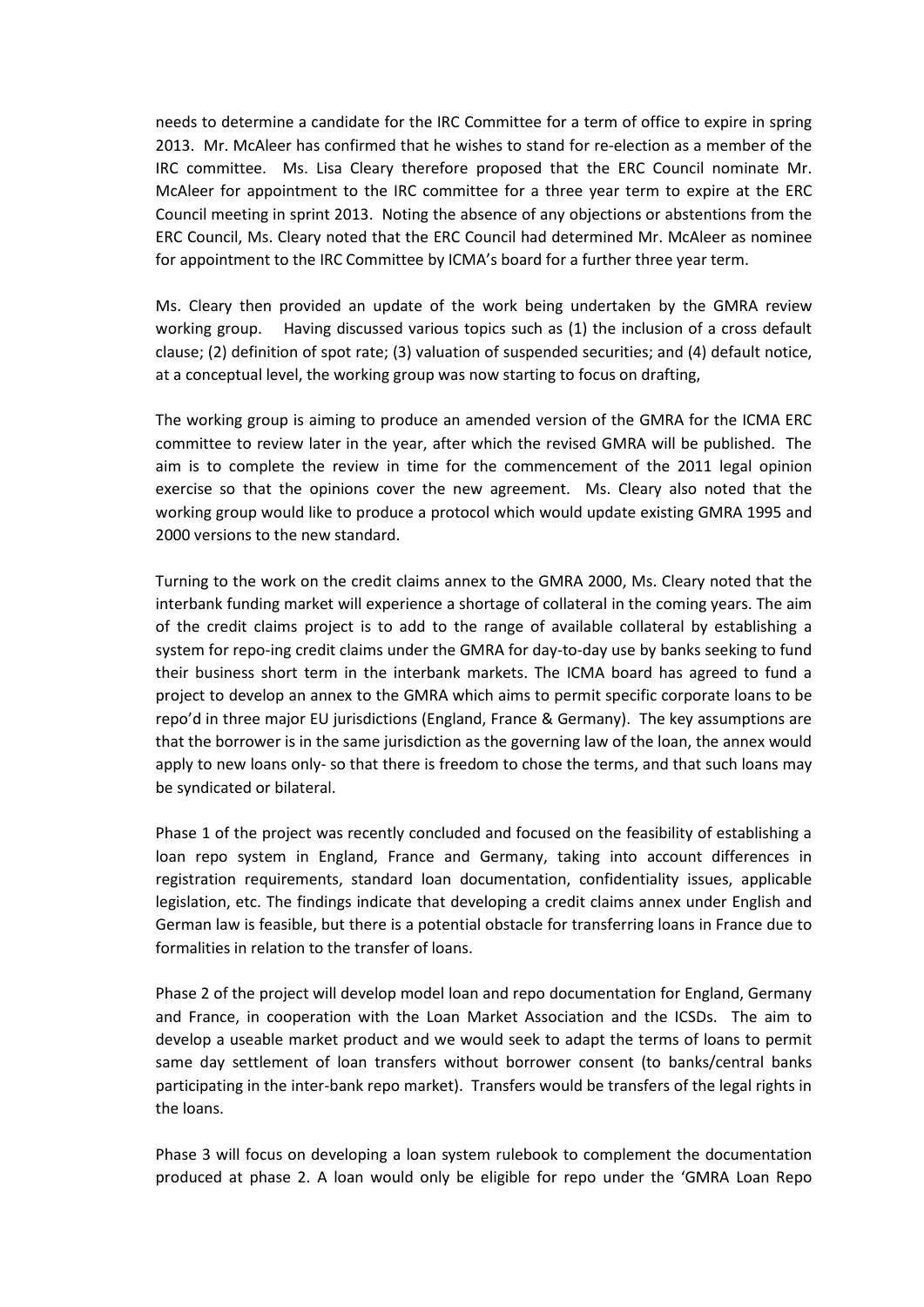needs to determine a candidate for the IRC Committee for a term of office to expire in spring 2013. Mr. McAleer has confirmed that he wishes to stand for re-election as a member of the IRC committee. Ms. Lisa Cleary therefore proposed that the ERC Council nominate Mr. McAleer for appointment to the IRC committee for a three year term to expire at the ERC Council meeting in sprint 2013. Noting the absence of any objections or abstentions from the ERC Council, Ms. Cleary noted that the ERC Council had determined Mr. McAleer as nominee for appointment to the IRC Committee by ICMA's board for a further three year term.

Ms. Cleary then provided an update of the work being undertaken by the GMRA review working group. Having discussed various topics such as (1) the inclusion of a cross default clause; (2) definition of spot rate; (3) valuation of suspended securities; and (4) default notice, at a conceptual level, the working group was now starting to focus on drafting,

The working group is aiming to produce an amended version of the GMRA for the ICMA ERC committee to review later in the year, after which the revised GMRA will be published. The aim is to complete the review in time for the commencement of the 2011 legal opinion exercise so that the opinions cover the new agreement. Ms. Cleary also noted that the working group would like to produce a protocol which would update existing GMRA 1995 and 2000 versions to the new standard.

Turning to the work on the credit claims annex to the GMRA 2000, Ms. Cleary noted that the interbank funding market will experience a shortage of collateral in the coming years. The aim of the credit claims project is to add to the range of available collateral by establishing a system for repo-ing credit claims under the GMRA for day-to-day use by banks seeking to fund their business short term in the interbank markets. The ICMA board has agreed to fund a project to develop an annex to the GMRA which aims to permit specific corporate loans to be repo'd in three major EU jurisdictions (England, France & Germany). The key assumptions are that the borrower is in the same jurisdiction as the governing law of the loan, the annex would apply to new loans only- so that there is freedom to chose the terms, and that such loans may be syndicated or bilateral.

Phase 1 of the project was recently concluded and focused on the feasibility of establishing a loan repo system in England, France and Germany, taking into account differences in registration requirements, standard loan documentation, confidentiality issues, applicable legislation, etc. The findings indicate that developing a credit claims annex under English and German law is feasible, but there is a potential obstacle for transferring loans in France due to formalities in relation to the transfer of loans.

Phase 2 of the project will develop model loan and repo documentation for England, Germany and France, in cooperation with the Loan Market Association and the ICSDs. The aim to develop a useable market product and we would seek to adapt the terms of loans to permit same day settlement of loan transfers without borrower consent (to banks/central banks participating in the inter-bank repo market). Transfers would be transfers of the legal rights in the loans.

Phase 3 will focus on developing a loan system rulebook to complement the documentation produced at phase 2. A loan would only be eligible for repo under the 'GMRA Loan Repo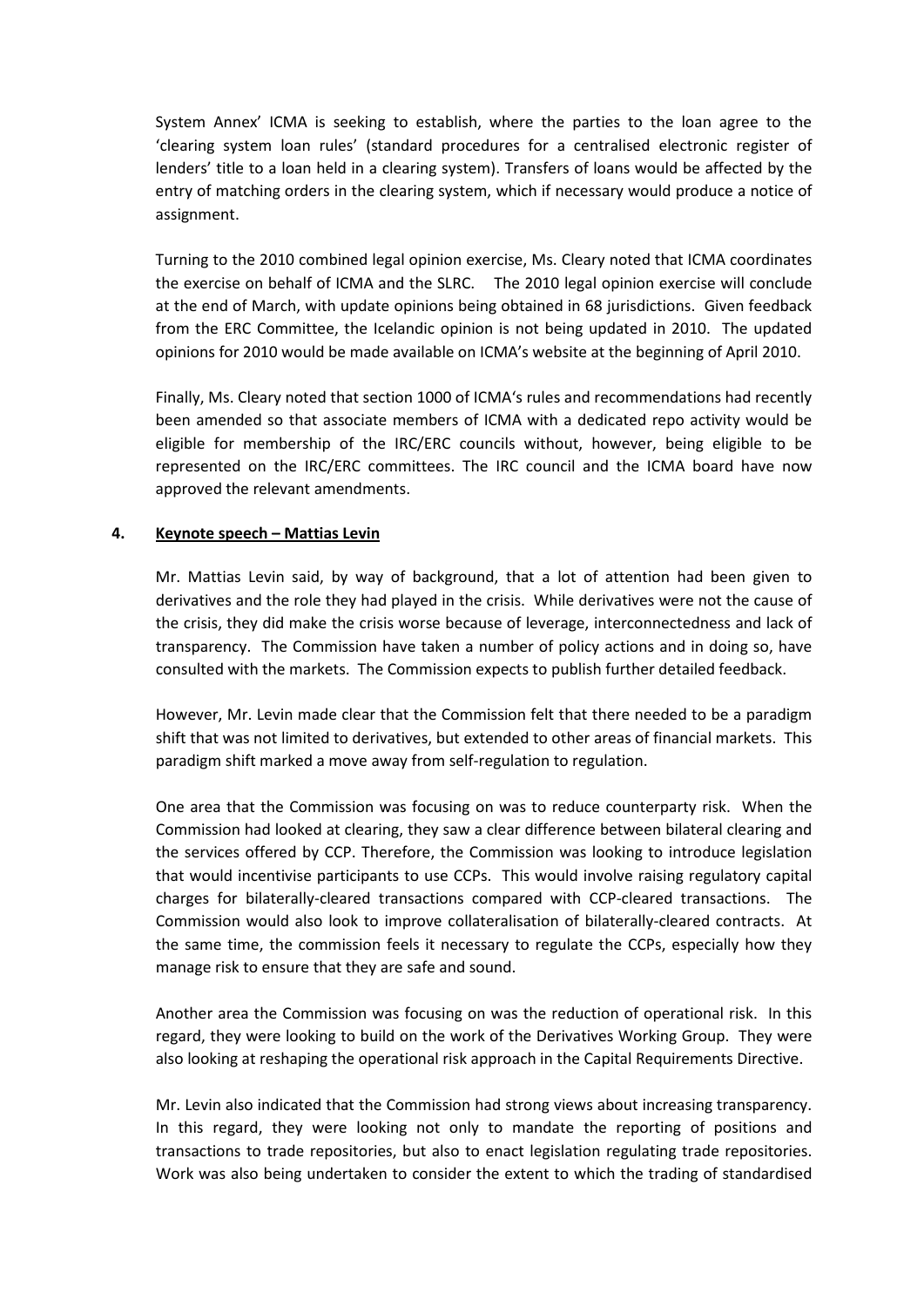System Annex' ICMA is seeking to establish, where the parties to the loan agree to the 'clearing system loan rules' (standard procedures for a centralised electronic register of lenders' title to a loan held in a clearing system). Transfers of loans would be affected by the entry of matching orders in the clearing system, which if necessary would produce a notice of assignment.

Turning to the 2010 combined legal opinion exercise, Ms. Cleary noted that ICMA coordinates the exercise on behalf of ICMA and the SLRC. The 2010 legal opinion exercise will conclude at the end of March, with update opinions being obtained in 68 jurisdictions. Given feedback from the ERC Committee, the Icelandic opinion is not being updated in 2010. The updated opinions for 2010 would be made available on ICMA's website at the beginning of April 2010.

Finally, Ms. Cleary noted that section 1000 of ICMA's rules and recommendations had recently been amended so that associate members of ICMA with a dedicated repo activity would be eligible for membership of the IRC/ERC councils without, however, being eligible to be represented on the IRC/ERC committees. The IRC council and the ICMA board have now approved the relevant amendments.

# **4. Keynote speech – Mattias Levin**

Mr. Mattias Levin said, by way of background, that a lot of attention had been given to derivatives and the role they had played in the crisis. While derivatives were not the cause of the crisis, they did make the crisis worse because of leverage, interconnectedness and lack of transparency. The Commission have taken a number of policy actions and in doing so, have consulted with the markets. The Commission expects to publish further detailed feedback.

However, Mr. Levin made clear that the Commission felt that there needed to be a paradigm shift that was not limited to derivatives, but extended to other areas of financial markets. This paradigm shift marked a move away from self-regulation to regulation.

One area that the Commission was focusing on was to reduce counterparty risk. When the Commission had looked at clearing, they saw a clear difference between bilateral clearing and the services offered by CCP. Therefore, the Commission was looking to introduce legislation that would incentivise participants to use CCPs. This would involve raising regulatory capital charges for bilaterally-cleared transactions compared with CCP-cleared transactions. The Commission would also look to improve collateralisation of bilaterally-cleared contracts. At the same time, the commission feels it necessary to regulate the CCPs, especially how they manage risk to ensure that they are safe and sound.

Another area the Commission was focusing on was the reduction of operational risk. In this regard, they were looking to build on the work of the Derivatives Working Group. They were also looking at reshaping the operational risk approach in the Capital Requirements Directive.

Mr. Levin also indicated that the Commission had strong views about increasing transparency. In this regard, they were looking not only to mandate the reporting of positions and transactions to trade repositories, but also to enact legislation regulating trade repositories. Work was also being undertaken to consider the extent to which the trading of standardised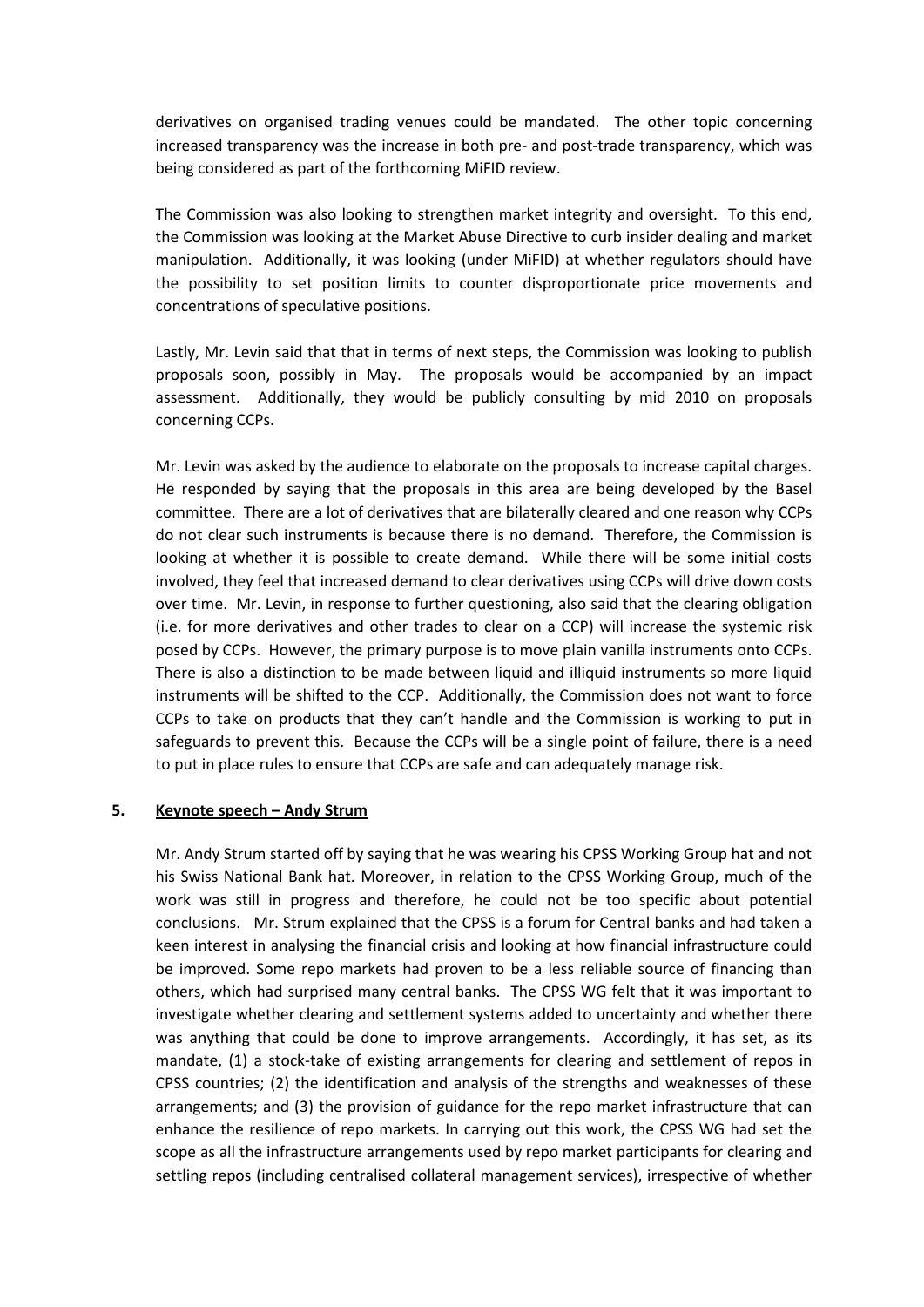derivatives on organised trading venues could be mandated. The other topic concerning increased transparency was the increase in both pre- and post-trade transparency, which was being considered as part of the forthcoming MiFID review.

The Commission was also looking to strengthen market integrity and oversight. To this end, the Commission was looking at the Market Abuse Directive to curb insider dealing and market manipulation. Additionally, it was looking (under MiFID) at whether regulators should have the possibility to set position limits to counter disproportionate price movements and concentrations of speculative positions.

Lastly, Mr. Levin said that that in terms of next steps, the Commission was looking to publish proposals soon, possibly in May. The proposals would be accompanied by an impact assessment. Additionally, they would be publicly consulting by mid 2010 on proposals concerning CCPs.

Mr. Levin was asked by the audience to elaborate on the proposals to increase capital charges. He responded by saying that the proposals in this area are being developed by the Basel committee. There are a lot of derivatives that are bilaterally cleared and one reason why CCPs do not clear such instruments is because there is no demand. Therefore, the Commission is looking at whether it is possible to create demand. While there will be some initial costs involved, they feel that increased demand to clear derivatives using CCPs will drive down costs over time. Mr. Levin, in response to further questioning, also said that the clearing obligation (i.e. for more derivatives and other trades to clear on a CCP) will increase the systemic risk posed by CCPs. However, the primary purpose is to move plain vanilla instruments onto CCPs. There is also a distinction to be made between liquid and illiquid instruments so more liquid instruments will be shifted to the CCP. Additionally, the Commission does not want to force CCPs to take on products that they can't handle and the Commission is working to put in safeguards to prevent this. Because the CCPs will be a single point of failure, there is a need to put in place rules to ensure that CCPs are safe and can adequately manage risk.

#### **5. Keynote speech – Andy Strum**

Mr. Andy Strum started off by saying that he was wearing his CPSS Working Group hat and not his Swiss National Bank hat. Moreover, in relation to the CPSS Working Group, much of the work was still in progress and therefore, he could not be too specific about potential conclusions. Mr. Strum explained that the CPSS is a forum for Central banks and had taken a keen interest in analysing the financial crisis and looking at how financial infrastructure could be improved. Some repo markets had proven to be a less reliable source of financing than others, which had surprised many central banks. The CPSS WG felt that it was important to investigate whether clearing and settlement systems added to uncertainty and whether there was anything that could be done to improve arrangements. Accordingly, it has set, as its mandate, (1) a stock-take of existing arrangements for clearing and settlement of repos in CPSS countries; (2) the identification and analysis of the strengths and weaknesses of these arrangements; and (3) the provision of guidance for the repo market infrastructure that can enhance the resilience of repo markets. In carrying out this work, the CPSS WG had set the scope as all the infrastructure arrangements used by repo market participants for clearing and settling repos (including centralised collateral management services), irrespective of whether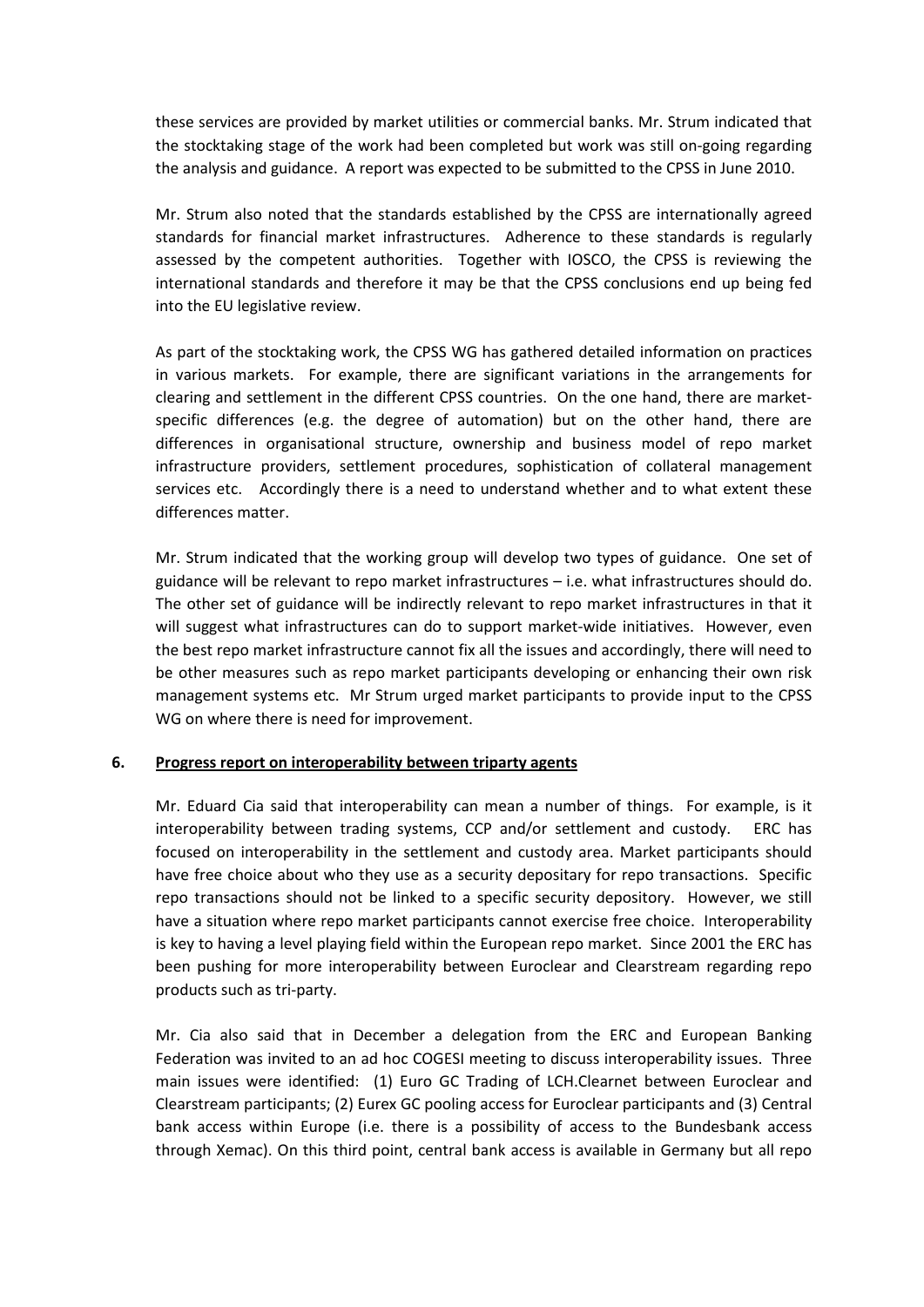these services are provided by market utilities or commercial banks. Mr. Strum indicated that the stocktaking stage of the work had been completed but work was still on-going regarding the analysis and guidance. A report was expected to be submitted to the CPSS in June 2010.

Mr. Strum also noted that the standards established by the CPSS are internationally agreed standards for financial market infrastructures. Adherence to these standards is regularly assessed by the competent authorities. Together with IOSCO, the CPSS is reviewing the international standards and therefore it may be that the CPSS conclusions end up being fed into the EU legislative review.

As part of the stocktaking work, the CPSS WG has gathered detailed information on practices in various markets. For example, there are significant variations in the arrangements for clearing and settlement in the different CPSS countries. On the one hand, there are marketspecific differences (e.g. the degree of automation) but on the other hand, there are differences in organisational structure, ownership and business model of repo market infrastructure providers, settlement procedures, sophistication of collateral management services etc. Accordingly there is a need to understand whether and to what extent these differences matter.

Mr. Strum indicated that the working group will develop two types of guidance. One set of guidance will be relevant to repo market infrastructures – i.e. what infrastructures should do. The other set of guidance will be indirectly relevant to repo market infrastructures in that it will suggest what infrastructures can do to support market-wide initiatives. However, even the best repo market infrastructure cannot fix all the issues and accordingly, there will need to be other measures such as repo market participants developing or enhancing their own risk management systems etc. Mr Strum urged market participants to provide input to the CPSS WG on where there is need for improvement.

# **6. Progress report on interoperability between triparty agents**

Mr. Eduard Cia said that interoperability can mean a number of things. For example, is it interoperability between trading systems, CCP and/or settlement and custody. ERC has focused on interoperability in the settlement and custody area. Market participants should have free choice about who they use as a security depositary for repo transactions. Specific repo transactions should not be linked to a specific security depository. However, we still have a situation where repo market participants cannot exercise free choice. Interoperability is key to having a level playing field within the European repo market. Since 2001 the ERC has been pushing for more interoperability between Euroclear and Clearstream regarding repo products such as tri-party.

Mr. Cia also said that in December a delegation from the ERC and European Banking Federation was invited to an ad hoc COGESI meeting to discuss interoperability issues. Three main issues were identified: (1) Euro GC Trading of LCH.Clearnet between Euroclear and Clearstream participants; (2) Eurex GC pooling access for Euroclear participants and (3) Central bank access within Europe (i.e. there is a possibility of access to the Bundesbank access through Xemac). On this third point, central bank access is available in Germany but all repo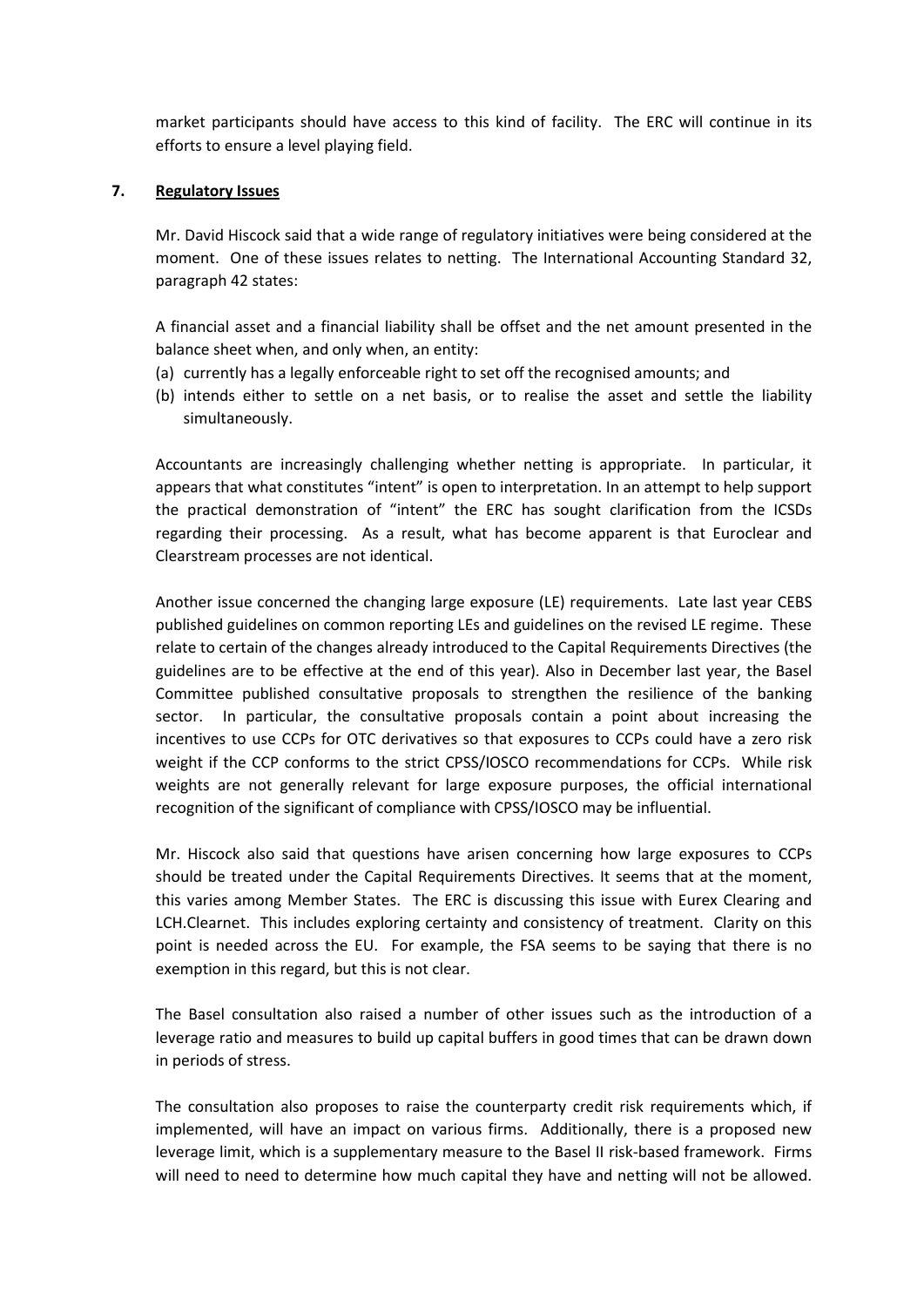market participants should have access to this kind of facility. The ERC will continue in its efforts to ensure a level playing field.

# **7. Regulatory Issues**

Mr. David Hiscock said that a wide range of regulatory initiatives were being considered at the moment. One of these issues relates to netting. The International Accounting Standard 32, paragraph 42 states:

A financial asset and a financial liability shall be offset and the net amount presented in the balance sheet when, and only when, an entity:

- (a) currently has a legally enforceable right to set off the recognised amounts; and
- (b) intends either to settle on a net basis, or to realise the asset and settle the liability simultaneously.

Accountants are increasingly challenging whether netting is appropriate. In particular, it appears that what constitutes "intent" is open to interpretation. In an attempt to help support the practical demonstration of "intent" the ERC has sought clarification from the ICSDs regarding their processing. As a result, what has become apparent is that Euroclear and Clearstream processes are not identical.

Another issue concerned the changing large exposure (LE) requirements. Late last year CEBS published guidelines on common reporting LEs and guidelines on the revised LE regime. These relate to certain of the changes already introduced to the Capital Requirements Directives (the guidelines are to be effective at the end of this year). Also in December last year, the Basel Committee published consultative proposals to strengthen the resilience of the banking sector. In particular, the consultative proposals contain a point about increasing the incentives to use CCPs for OTC derivatives so that exposures to CCPs could have a zero risk weight if the CCP conforms to the strict CPSS/IOSCO recommendations for CCPs. While risk weights are not generally relevant for large exposure purposes, the official international recognition of the significant of compliance with CPSS/IOSCO may be influential.

Mr. Hiscock also said that questions have arisen concerning how large exposures to CCPs should be treated under the Capital Requirements Directives. It seems that at the moment, this varies among Member States. The ERC is discussing this issue with Eurex Clearing and LCH.Clearnet. This includes exploring certainty and consistency of treatment. Clarity on this point is needed across the EU. For example, the FSA seems to be saying that there is no exemption in this regard, but this is not clear.

The Basel consultation also raised a number of other issues such as the introduction of a leverage ratio and measures to build up capital buffers in good times that can be drawn down in periods of stress.

The consultation also proposes to raise the counterparty credit risk requirements which, if implemented, will have an impact on various firms. Additionally, there is a proposed new leverage limit, which is a supplementary measure to the Basel II risk-based framework. Firms will need to need to determine how much capital they have and netting will not be allowed.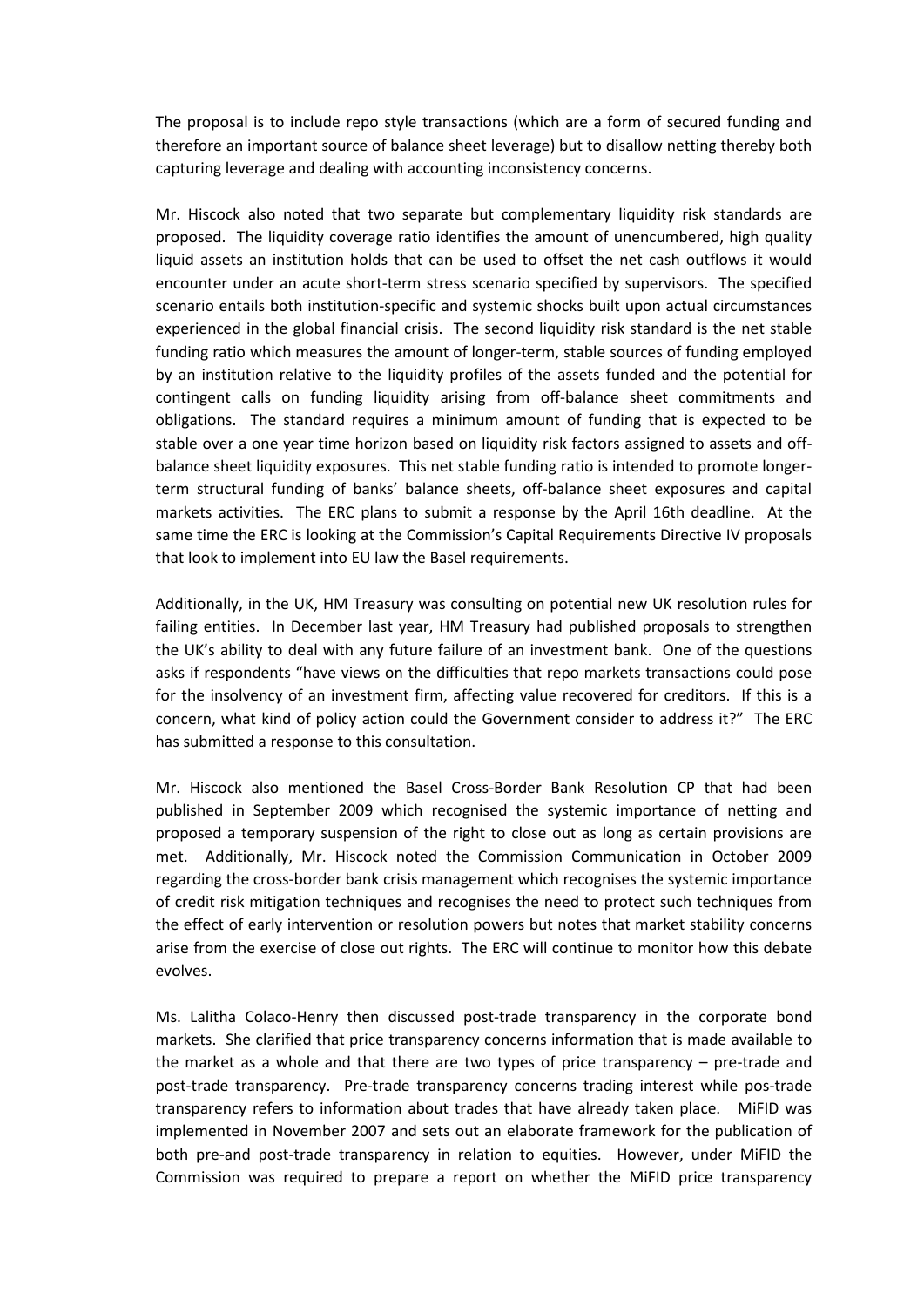The proposal is to include repo style transactions (which are a form of secured funding and therefore an important source of balance sheet leverage) but to disallow netting thereby both capturing leverage and dealing with accounting inconsistency concerns.

Mr. Hiscock also noted that two separate but complementary liquidity risk standards are proposed. The liquidity coverage ratio identifies the amount of unencumbered, high quality liquid assets an institution holds that can be used to offset the net cash outflows it would encounter under an acute short-term stress scenario specified by supervisors. The specified scenario entails both institution-specific and systemic shocks built upon actual circumstances experienced in the global financial crisis. The second liquidity risk standard is the net stable funding ratio which measures the amount of longer-term, stable sources of funding employed by an institution relative to the liquidity profiles of the assets funded and the potential for contingent calls on funding liquidity arising from off-balance sheet commitments and obligations. The standard requires a minimum amount of funding that is expected to be stable over a one year time horizon based on liquidity risk factors assigned to assets and offbalance sheet liquidity exposures. This net stable funding ratio is intended to promote longerterm structural funding of banks' balance sheets, off-balance sheet exposures and capital markets activities. The ERC plans to submit a response by the April 16th deadline. At the same time the ERC is looking at the Commission's Capital Requirements Directive IV proposals that look to implement into EU law the Basel requirements.

Additionally, in the UK, HM Treasury was consulting on potential new UK resolution rules for failing entities. In December last year, HM Treasury had published proposals to strengthen the UK's ability to deal with any future failure of an investment bank. One of the questions asks if respondents "have views on the difficulties that repo markets transactions could pose for the insolvency of an investment firm, affecting value recovered for creditors. If this is a concern, what kind of policy action could the Government consider to address it?" The ERC has submitted a response to this consultation.

Mr. Hiscock also mentioned the Basel Cross-Border Bank Resolution CP that had been published in September 2009 which recognised the systemic importance of netting and proposed a temporary suspension of the right to close out as long as certain provisions are met. Additionally, Mr. Hiscock noted the Commission Communication in October 2009 regarding the cross-border bank crisis management which recognises the systemic importance of credit risk mitigation techniques and recognises the need to protect such techniques from the effect of early intervention or resolution powers but notes that market stability concerns arise from the exercise of close out rights. The ERC will continue to monitor how this debate evolves.

Ms. Lalitha Colaco-Henry then discussed post-trade transparency in the corporate bond markets. She clarified that price transparency concerns information that is made available to the market as a whole and that there are two types of price transparency – pre-trade and post-trade transparency. Pre-trade transparency concerns trading interest while pos-trade transparency refers to information about trades that have already taken place. MiFID was implemented in November 2007 and sets out an elaborate framework for the publication of both pre-and post-trade transparency in relation to equities. However, under MiFID the Commission was required to prepare a report on whether the MiFID price transparency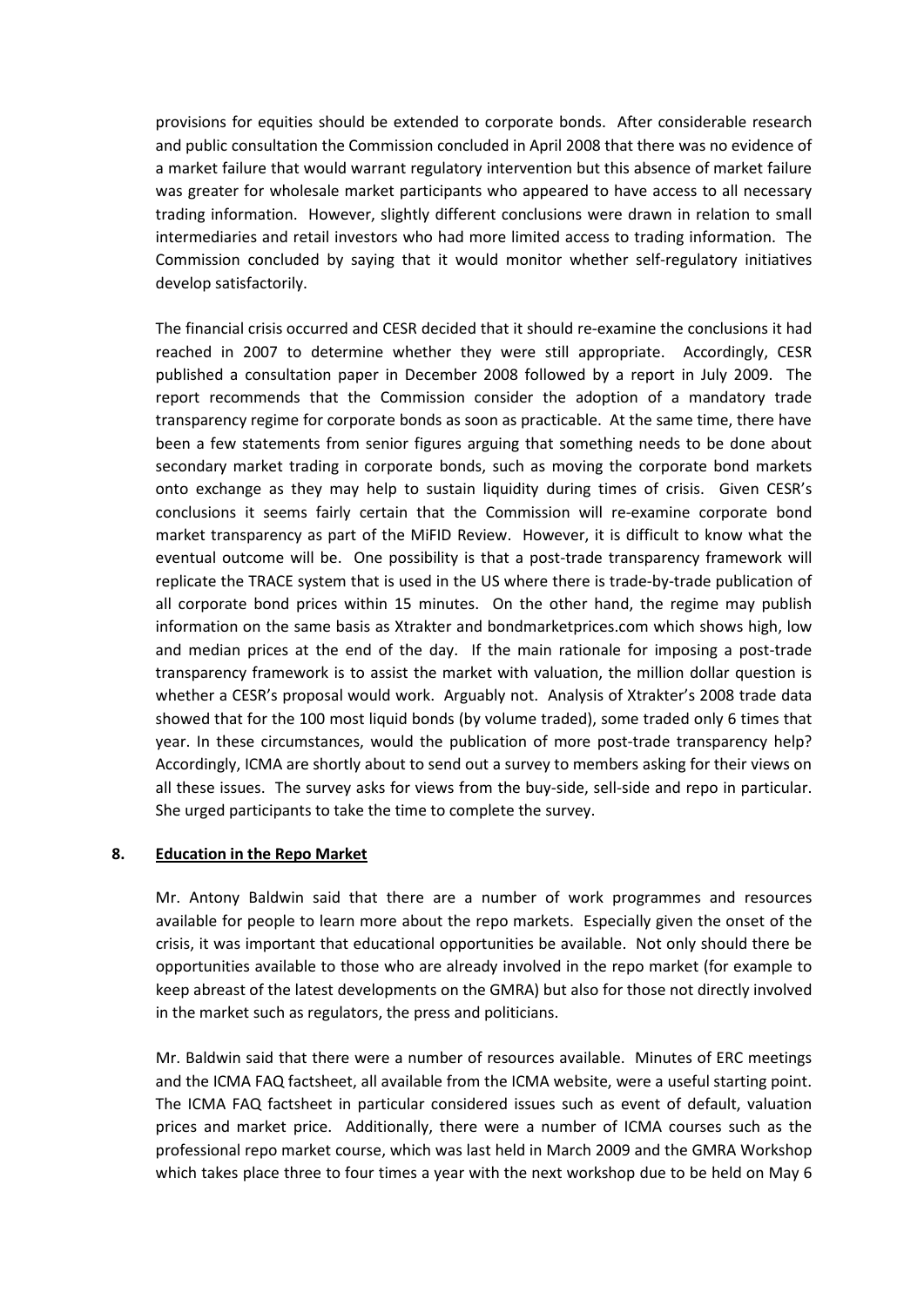provisions for equities should be extended to corporate bonds. After considerable research and public consultation the Commission concluded in April 2008 that there was no evidence of a market failure that would warrant regulatory intervention but this absence of market failure was greater for wholesale market participants who appeared to have access to all necessary trading information. However, slightly different conclusions were drawn in relation to small intermediaries and retail investors who had more limited access to trading information. The Commission concluded by saying that it would monitor whether self-regulatory initiatives develop satisfactorily.

The financial crisis occurred and CESR decided that it should re-examine the conclusions it had reached in 2007 to determine whether they were still appropriate. Accordingly, CESR published a consultation paper in December 2008 followed by a report in July 2009. The report recommends that the Commission consider the adoption of a mandatory trade transparency regime for corporate bonds as soon as practicable. At the same time, there have been a few statements from senior figures arguing that something needs to be done about secondary market trading in corporate bonds, such as moving the corporate bond markets onto exchange as they may help to sustain liquidity during times of crisis. Given CESR's conclusions it seems fairly certain that the Commission will re-examine corporate bond market transparency as part of the MiFID Review. However, it is difficult to know what the eventual outcome will be. One possibility is that a post-trade transparency framework will replicate the TRACE system that is used in the US where there is trade-by-trade publication of all corporate bond prices within 15 minutes. On the other hand, the regime may publish information on the same basis as Xtrakter and bondmarketprices.com which shows high, low and median prices at the end of the day. If the main rationale for imposing a post-trade transparency framework is to assist the market with valuation, the million dollar question is whether a CESR's proposal would work. Arguably not. Analysis of Xtrakter's 2008 trade data showed that for the 100 most liquid bonds (by volume traded), some traded only 6 times that year. In these circumstances, would the publication of more post-trade transparency help? Accordingly, ICMA are shortly about to send out a survey to members asking for their views on all these issues. The survey asks for views from the buy-side, sell-side and repo in particular. She urged participants to take the time to complete the survey.

# **8. Education in the Repo Market**

Mr. Antony Baldwin said that there are a number of work programmes and resources available for people to learn more about the repo markets. Especially given the onset of the crisis, it was important that educational opportunities be available. Not only should there be opportunities available to those who are already involved in the repo market (for example to keep abreast of the latest developments on the GMRA) but also for those not directly involved in the market such as regulators, the press and politicians.

Mr. Baldwin said that there were a number of resources available. Minutes of ERC meetings and the ICMA FAQ factsheet, all available from the ICMA website, were a useful starting point. The ICMA FAQ factsheet in particular considered issues such as event of default, valuation prices and market price. Additionally, there were a number of ICMA courses such as the professional repo market course, which was last held in March 2009 and the GMRA Workshop which takes place three to four times a year with the next workshop due to be held on May 6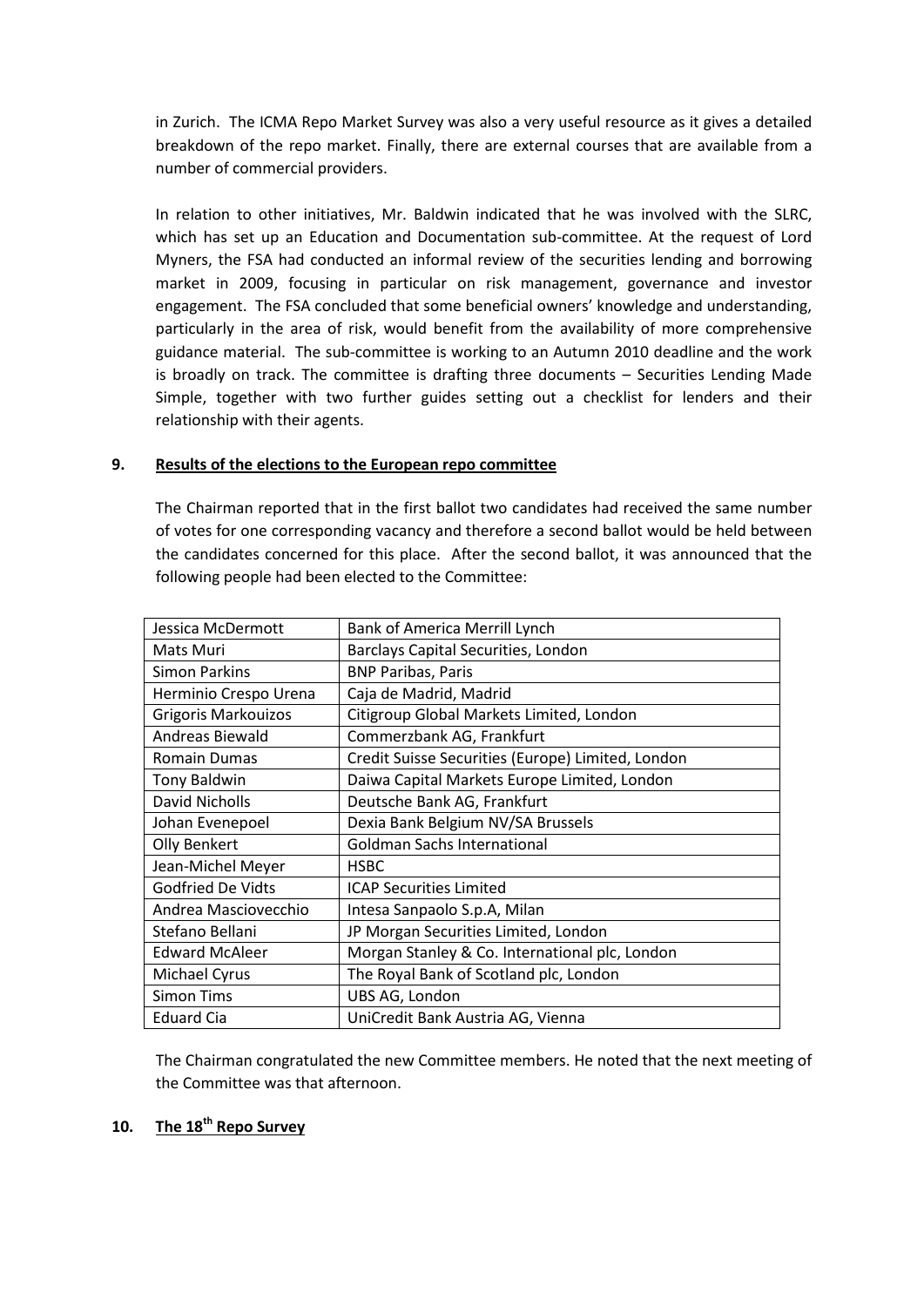in Zurich. The ICMA Repo Market Survey was also a very useful resource as it gives a detailed breakdown of the repo market. Finally, there are external courses that are available from a number of commercial providers.

In relation to other initiatives, Mr. Baldwin indicated that he was involved with the SLRC, which has set up an Education and Documentation sub-committee. At the request of Lord Myners, the FSA had conducted an informal review of the securities lending and borrowing market in 2009, focusing in particular on risk management, governance and investor engagement. The FSA concluded that some beneficial owners' knowledge and understanding, particularly in the area of risk, would benefit from the availability of more comprehensive guidance material. The sub-committee is working to an Autumn 2010 deadline and the work is broadly on track. The committee is drafting three documents – Securities Lending Made Simple, together with two further guides setting out a checklist for lenders and their relationship with their agents.

# **9. Results of the elections to the European repo committee**

The Chairman reported that in the first ballot two candidates had received the same number of votes for one corresponding vacancy and therefore a second ballot would be held between the candidates concerned for this place. After the second ballot, it was announced that the following people had been elected to the Committee:

| Jessica McDermott        | <b>Bank of America Merrill Lynch</b>              |
|--------------------------|---------------------------------------------------|
| Mats Muri                | Barclays Capital Securities, London               |
| <b>Simon Parkins</b>     | <b>BNP Paribas, Paris</b>                         |
| Herminio Crespo Urena    | Caja de Madrid, Madrid                            |
| Grigoris Markouizos      | Citigroup Global Markets Limited, London          |
| Andreas Biewald          | Commerzbank AG, Frankfurt                         |
| <b>Romain Dumas</b>      | Credit Suisse Securities (Europe) Limited, London |
| <b>Tony Baldwin</b>      | Daiwa Capital Markets Europe Limited, London      |
| David Nicholls           | Deutsche Bank AG, Frankfurt                       |
| Johan Evenepoel          | Dexia Bank Belgium NV/SA Brussels                 |
| Olly Benkert             | <b>Goldman Sachs International</b>                |
| Jean-Michel Meyer        | <b>HSBC</b>                                       |
| <b>Godfried De Vidts</b> | <b>ICAP Securities Limited</b>                    |
| Andrea Masciovecchio     | Intesa Sanpaolo S.p.A, Milan                      |
| Stefano Bellani          | JP Morgan Securities Limited, London              |
| <b>Edward McAleer</b>    | Morgan Stanley & Co. International plc, London    |
| Michael Cyrus            | The Royal Bank of Scotland plc, London            |
| <b>Simon Tims</b>        | UBS AG, London                                    |
| <b>Eduard Cia</b>        | UniCredit Bank Austria AG, Vienna                 |

The Chairman congratulated the new Committee members. He noted that the next meeting of the Committee was that afternoon.

# **10. The 18th Repo Survey**